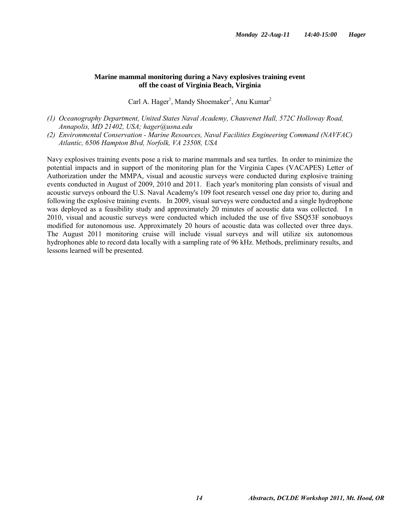## **Marine mammal monitoring during a Navy explosives training event off the coast of Virginia Beach, Virginia**

Carl A. Hager<sup>1</sup>, Mandy Shoemaker<sup>2</sup>, Anu Kumar<sup>2</sup>

- *(1) Oceanography Department, United States Naval Academy, Chauvenet Hall, 572C Holloway Road, Annapolis, MD 21402, USA; hager@usna.edu*
- *(2) Environmental Conservation Marine Resources, Naval Facilities Engineering Command (NAVFAC) Atlantic, 6506 Hampton Blvd, Norfolk, VA 23508, USA*

Navy explosives training events pose a risk to marine mammals and sea turtles. In order to minimize the potential impacts and in support of the monitoring plan for the Virginia Capes (VACAPES) Letter of Authorization under the MMPA, visual and acoustic surveys were conducted during explosive training events conducted in August of 2009, 2010 and 2011. Each year's monitoring plan consists of visual and acoustic surveys onboard the U.S. Naval Academy's 109 foot research vessel one day prior to, during and following the explosive training events. In 2009, visual surveys were conducted and a single hydrophone was deployed as a feasibility study and approximately 20 minutes of acoustic data was collected. I n 2010, visual and acoustic surveys were conducted which included the use of five SSQ53F sonobuoys modified for autonomous use. Approximately 20 hours of acoustic data was collected over three days. The August 2011 monitoring cruise will include visual surveys and will utilize six autonomous hydrophones able to record data locally with a sampling rate of 96 kHz. Methods, preliminary results, and lessons learned will be presented.